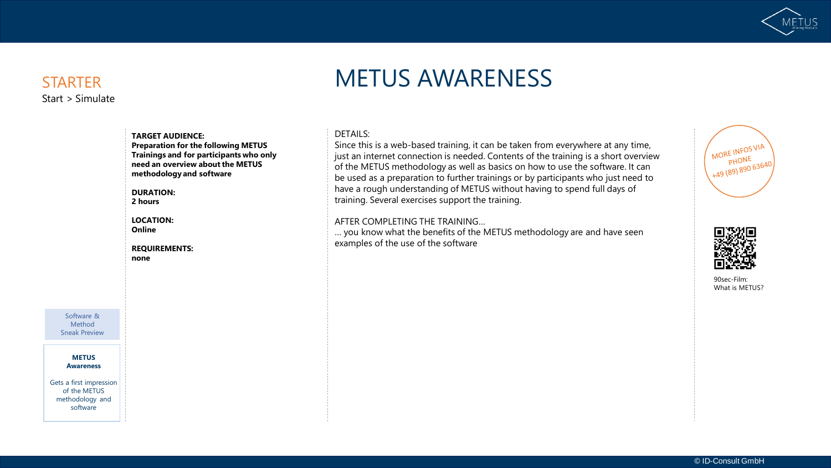

### **STARTER** Start > Simulate

# METUS AWARENESS

### **TARGET AUDIENCE:**

**Preparation for the following METUS Trainings and for participants who only need an overview about the METUS methodology and software** 

#### **DURATION:**

**2 hours**

**LOCATION: Online**

**REQUIREMENTS: none**

Software & Method Sneak Preview

> **METUS Awareness**

Gets a first impression of the METUS methodology and software

### DETAILS:

Since this is a web-based training, it can be taken from everywhere at any time, just an internet connection is needed. Contents of the training is a short overview of the METUS methodology as well as basics on how to use the software. It can be used as a preparation to further trainings or by participants who just need to have a rough understanding of METUS without having to spend full days of training. Several exercises support the training.

#### AFTER COMPLETING THE TRAINING…

… you know what the benefits of the METUS methodology are and have seen examples of the use of the software





90sec-Film: What is METUS?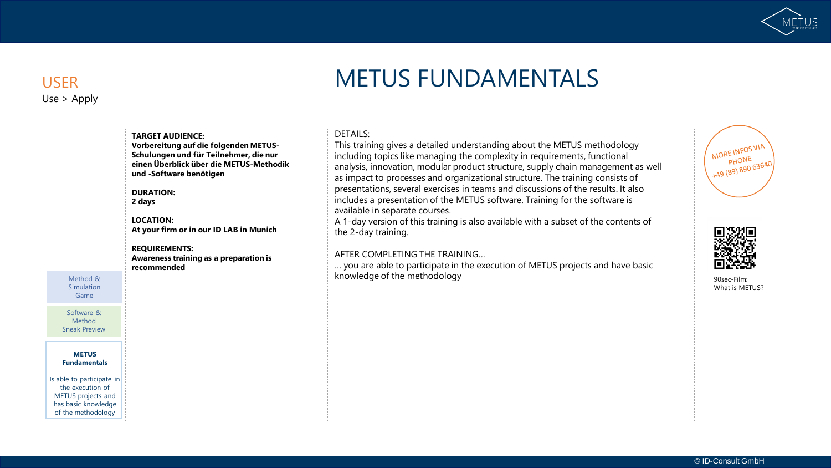

### USER Use > Apply

# METUS FUNDAMENTALS

#### DETAILS:

This training gives a detailed understanding about the METUS methodology including topics like managing the complexity in requirements, functional analysis, innovation, modular product structure, supply chain management as well as impact to processes and organizational structure. The training consists of presentations, several exercises in teams and discussions of the results. It also includes a presentation of the METUS software. Training for the software is available in separate courses.

A 1-day version of this training is also available with a subset of the contents of the 2-day training.

### AFTER COMPLETING THE TRAINING…

… you are able to participate in the execution of METUS projects and have basic knowledge of the methodology and the methodology and the state of the methodology  $90$ sec-Film:





What is METUS?

**TARGET AUDIENCE: Vorbereitung auf die folgenden METUS-Schulungen und für Teilnehmer, die nur einen Überblick über die METUS-Methodik und -Software benötigen** 

### **DURATION:**

**2 days**

#### **LOCATION: At your firm or in our ID LAB in Munich**

#### **REQUIREMENTS: Awareness training as a preparation is**

**recommended**

Method & Simulation Game

Software & Method Sneak Preview

**METUS Fundamentals**

Is able to participate in the execution of METUS projects and has basic knowledge of the methodology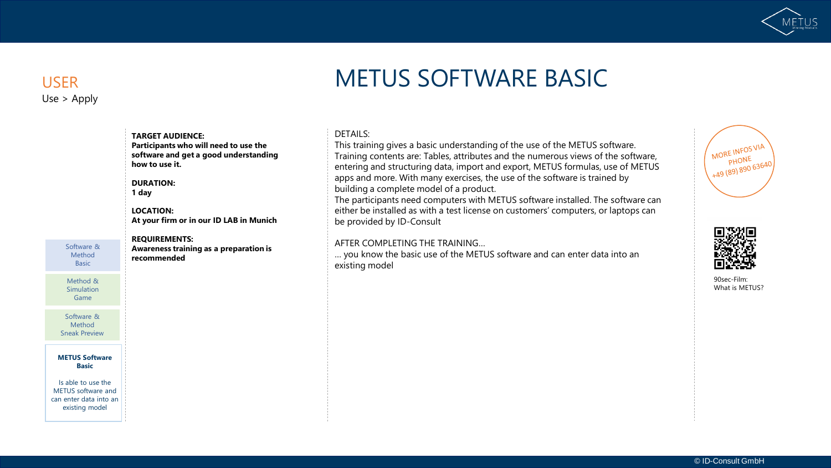

# Use > Apply

# USER METUS SOFTWARE BASIC

#### DETAILS:

This training gives a basic understanding of the use of the METUS software. Training contents are: Tables, attributes and the numerous views of the software, entering and structuring data, import and export, METUS formulas, use of METUS apps and more. With many exercises, the use of the software is trained by building a complete model of a product.

The participants need computers with METUS software installed. The software can either be installed as with a test license on customers' computers, or laptops can be provided by ID-Consult

#### AFTER COMPLETING THE TRAINING…

… you know the basic use of the METUS software and can enter data into an existing model





90sec-Film: What is METUS?

#### Software & Method Basic

Method & **Simulation** Game

Software & Method Sneak Preview

#### **METUS Software Basic**

Is able to use the METUS software and can enter data into an existing model

### **1 day LOCATION: At your firm or in our ID LAB in Munich REQUIREMENTS:**

**Participants who will need to use the software and get a good understanding** 

**TARGET AUDIENCE:** 

**how to use it.** 

**DURATION:** 

**Awareness training as a preparation is recommended**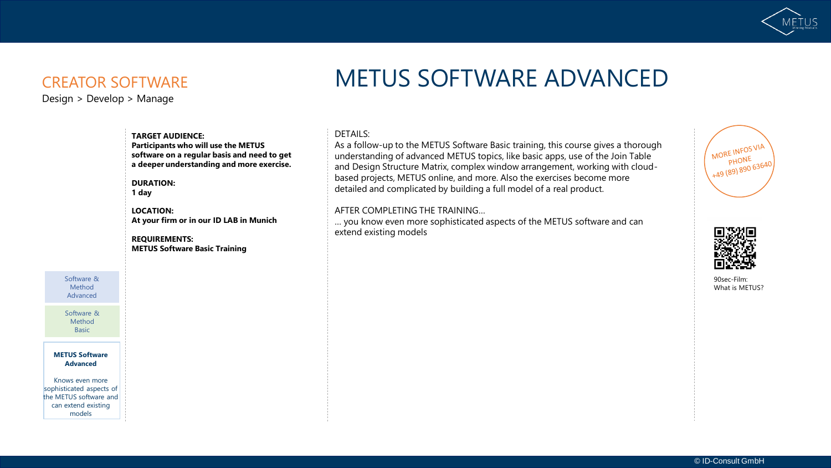

### CREATOR SOFTWARE

Design > Develop > Manage

# METUS SOFTWARE ADVANCED

#### DETAILS:

As a follow-up to the METUS Software Basic training, this course gives a thorough understanding of advanced METUS topics, like basic apps, use of the Join Table and Design Structure Matrix, complex window arrangement, working with cloudbased projects, METUS online, and more. Also the exercises become more detailed and complicated by building a full model of a real product.

#### AFTER COMPLETING THE TRAINING…

… you know even more sophisticated aspects of the METUS software and can extend existing models





90sec-Film: What is METUS?

**TARGET AUDIENCE: Participants who will use the METUS software on a regular basis and need to get a deeper understanding and more exercise.** 

**DURATION: 1 day**

**LOCATION: At your firm or in our ID LAB in Munich**

**REQUIREMENTS: METUS Software Basic Training** 

Software & Method Advanced

Software & Method **Basic** 

**METUS Software Advanced**

Knows even more sophisticated aspects of the METUS software and can extend existing models

© ID-Consult GmbH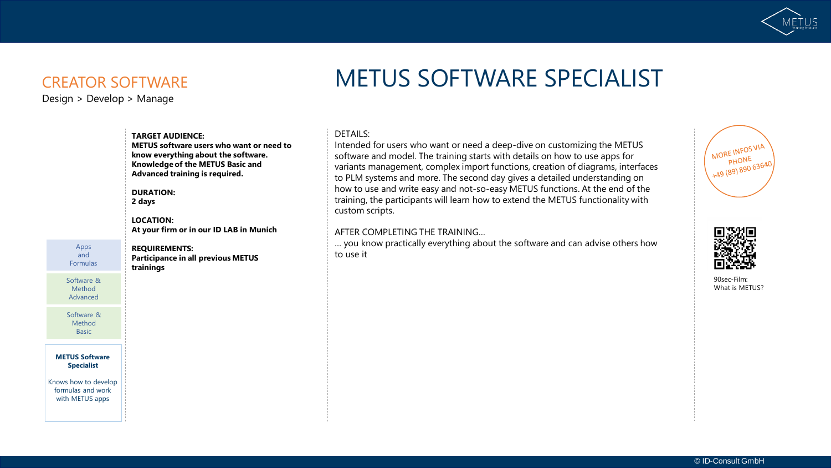

### CREATOR SOFTWARE

Design > Develop > Manage

# METUS SOFTWARE SPECIALIST

#### DETAILS:

Intended for users who want or need a deep-dive on customizing the METUS software and model. The training starts with details on how to use apps for variants management, complex import functions, creation of diagrams, interfaces to PLM systems and more. The second day gives a detailed understanding on how to use and write easy and not-so-easy METUS functions. At the end of the training, the participants will learn how to extend the METUS functionality with custom scripts.

#### AFTER COMPLETING THE TRAINING…

… you know practically everything about the software and can advise others how to use it





90sec-Film: What is METUS?

**Knowledge of the METUS Basic and Advanced training is required. DURATION: 2 days LOCATION: At your firm or in our ID LAB in Munich**

**METUS software users who want or need to know everything about the software.** 

**TARGET AUDIENCE:** 

Apps and Formulas

**REQUIREMENTS: Participance in all previous METUS trainings** 

Software & Method Advanced

Software & Method Basic

**METUS Software Specialist**

Knows how to develop formulas and work with METUS apps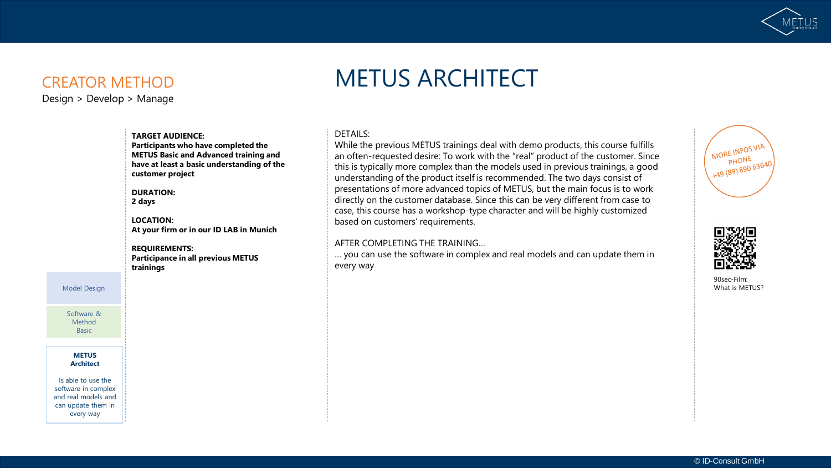

## CREATOR METHOD

Design > Develop > Manage

# METUS ARCHITECT

#### DETAILS:

While the previous METUS trainings deal with demo products, this course fulfills an often-requested desire: To work with the "real" product of the customer. Since this is typically more complex than the models used in previous trainings, a good understanding of the product itself is recommended. The two days consist of presentations of more advanced topics of METUS, but the main focus is to work directly on the customer database. Since this can be very different from case to case, this course has a workshop-type character and will be highly customized based on customers' requirements.

#### AFTER COMPLETING THE TRAINING…

… you can use the software in complex and real models and can update them in every way





90sec-Film: What is METUS?

**TARGET AUDIENCE: Participants who have completed the METUS Basic and Advanced training and have at least a basic understanding of the customer project**

**DURATION: 2 days**

**LOCATION: At your firm or in our ID LAB in Munich**

**REQUIREMENTS: Participance in all previous METUS trainings** 

Model Design

Software & Method Basic

**METUS Architect**

Is able to use the software in complex and real models and can update them in every way

#### © ID-Consult GmbH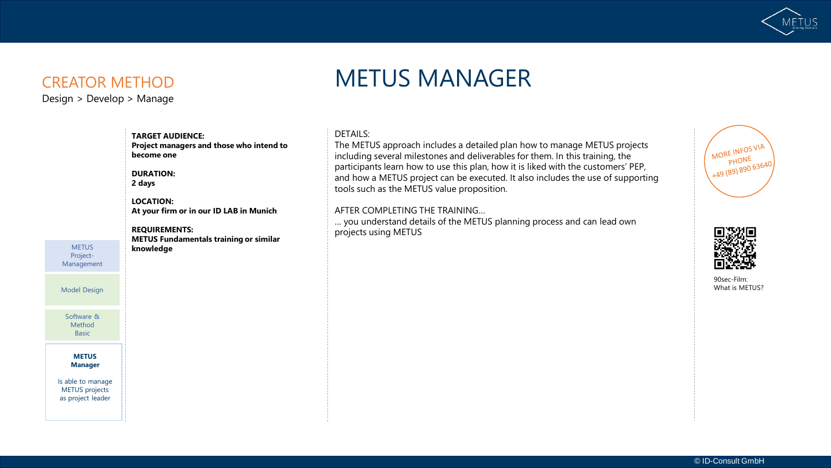

Design > Develop > Manage

# CREATOR METHOD METUS MANAGER

#### DETAILS:

The METUS approach includes a detailed plan how to manage METUS projects including several milestones and deliverables for them. In this training, the participants learn how to use this plan, how it is liked with the customers' PEP, and how a METUS project can be executed. It also includes the use of supporting tools such as the METUS value proposition.

#### AFTER COMPLETING THE TRAINING…

… you understand details of the METUS planning process and can lead own projects using METUS





90sec-Film: What is METUS?

**LOCATION: At your firm or in our ID LAB in Munich REQUIREMENTS: knowledge METUS** Project-Management

**TARGET AUDIENCE:** 

**become one** 

**DURATION: 2 days**

Model Design

Software & Method Basic

> **METUS Manager**

Is able to manage METUS projects as project leader

**METUS Fundamentals training or similar** 

**Project managers and those who intend to**